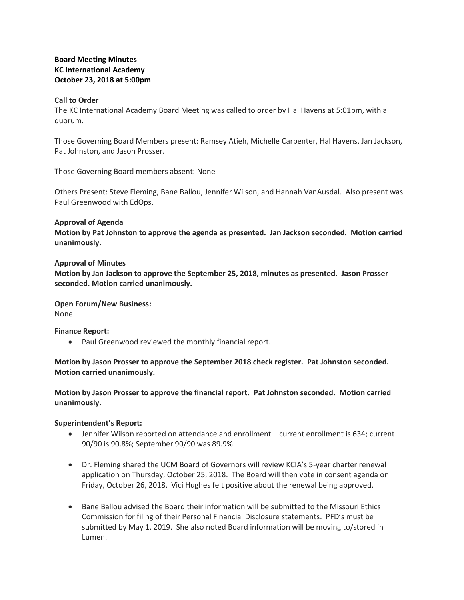# **Board Meeting Minutes KC International Academy October 23, 2018 at 5:00pm**

# **Call to Order**

The KC International Academy Board Meeting was called to order by Hal Havens at 5:01pm, with a quorum.

Those Governing Board Members present: Ramsey Atieh, Michelle Carpenter, Hal Havens, Jan Jackson, Pat Johnston, and Jason Prosser.

Those Governing Board members absent: None

Others Present: Steve Fleming, Bane Ballou, Jennifer Wilson, and Hannah VanAusdal. Also present was Paul Greenwood with EdOps.

# **Approval of Agenda**

**Motion by Pat Johnston to approve the agenda as presented. Jan Jackson seconded. Motion carried unanimously.**

## **Approval of Minutes**

**Motion by Jan Jackson to approve the September 25, 2018, minutes as presented. Jason Prosser seconded. Motion carried unanimously.**

#### **Open Forum/New Business:**

None

#### **Finance Report:**

• Paul Greenwood reviewed the monthly financial report.

**Motion by Jason Prosser to approve the September 2018 check register. Pat Johnston seconded. Motion carried unanimously.** 

**Motion by Jason Prosser to approve the financial report. Pat Johnston seconded. Motion carried unanimously.** 

# **Superintendent's Report:**

- Jennifer Wilson reported on attendance and enrollment current enrollment is 634; current 90/90 is 90.8%; September 90/90 was 89.9%.
- Dr. Fleming shared the UCM Board of Governors will review KCIA's 5-year charter renewal application on Thursday, October 25, 2018. The Board will then vote in consent agenda on Friday, October 26, 2018. Vici Hughes felt positive about the renewal being approved.
- Bane Ballou advised the Board their information will be submitted to the Missouri Ethics Commission for filing of their Personal Financial Disclosure statements. PFD's must be submitted by May 1, 2019. She also noted Board information will be moving to/stored in Lumen.